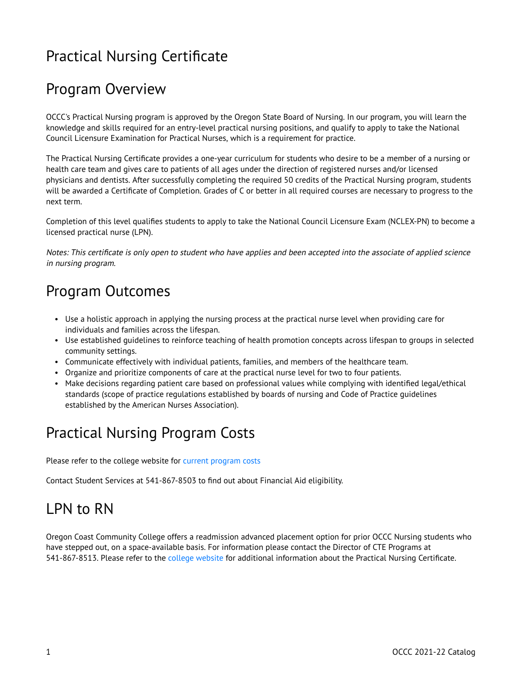# Practical Nursing Certificate

## Program Overview

OCCC's Practical Nursing program is approved by the Oregon State Board of Nursing. In our program, you will learn the knowledge and skills required for an entry-level practical nursing positions, and qualify to apply to take the National Council Licensure Examination for Practical Nurses, which is a requirement for practice.

The Practical Nursing Certificate provides a one-year curriculum for students who desire to be a member of a nursing or health care team and gives care to patients of all ages under the direction of registered nurses and/or licensed physicians and dentists. After successfully completing the required 50 credits of the Practical Nursing program, students will be awarded a Certificate of Completion. Grades of C or better in all required courses are necessary to progress to the next term.

Completion of this level qualifies students to apply to take the National Council Licensure Exam (NCLEX-PN) to become a licensed practical nurse (LPN).

Notes: This certificate is only open to student who have applies and been accepted into the associate of applied science in nursing program.

## Program Outcomes

- Use a holistic approach in applying the nursing process at the practical nurse level when providing care for individuals and families across the lifespan.
- Use established guidelines to reinforce teaching of health promotion concepts across lifespan to groups in selected community settings.
- Communicate effectively with individual patients, families, and members of the healthcare team.
- Organize and prioritize components of care at the practical nurse level for two to four patients.
- Make decisions regarding patient care based on professional values while complying with identified legal/ethical standards (scope of practice regulations established by boards of nursing and Code of Practice guidelines established by the American Nurses Association).

### Practical Nursing Program Costs

Please refer to the college website for [current program costs](http://www.oregoncoastcc.org/portfolio/associate-of-applied-science/) 

Contact Student Services at 541-867-8503 to find out about Financial Aid eligibility.

# LPN to RN

Oregon Coast Community College offers a readmission advanced placement option for prior OCCC Nursing students who have stepped out, on a space-available basis. For information please contact the Director of CTE Programs at 541-867-8513. Please refer to the [college website](http://www.oregoncoastcc.org/portfolio/practical-nursing-certificate/) for additional information about the Practical Nursing Certificate.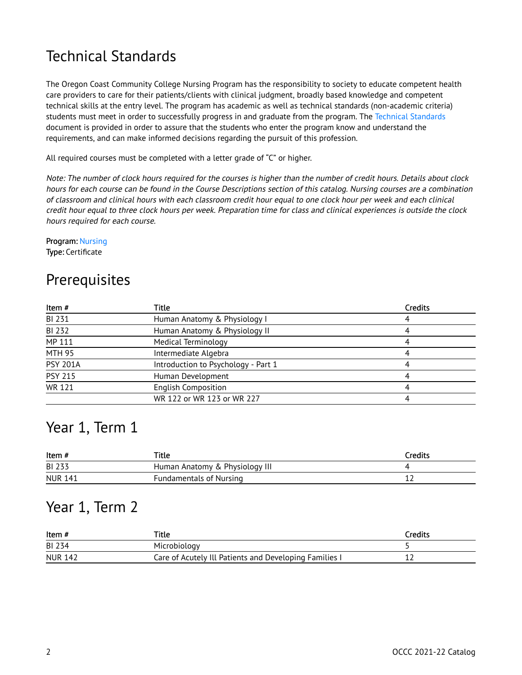# Technical Standards

The Oregon Coast Community College Nursing Program has the responsibility to society to educate competent health care providers to care for their patients/clients with clinical judgment, broadly based knowledge and competent technical skills at the entry level. The program has academic as well as technical standards (non-academic criteria) students must meet in order to successfully progress in and graduate from the program. The Technical Standards document is provided in order to assure that the students who enter the program know and understand the requirements, and can make informed decisions regarding the pursuit of this profession.

All required courses must be completed with a letter grade of "C" or higher.

Note: The number of clock hours required for the courses is higher than the number of credit hours. Details about clock hours for each course can be found in the Course Descriptions section of this catalog. Nursing courses are a combination of classroom and clinical hours with each classroom credit hour equal to one clock hour per week and each clinical credit hour equal to three clock hours per week. Preparation time for class and clinical experiences is outside the clock hours required for each course.

Program: [Nursing](https://catalog.oregoncoastcc.org/nursing)  Type: Certificate

### **Prerequisites**

| Item#           | Title                               | Credits |
|-----------------|-------------------------------------|---------|
| BI 231          | Human Anatomy & Physiology I        |         |
| BI 232          | Human Anatomy & Physiology II       |         |
| MP 111          | <b>Medical Terminology</b>          |         |
| <b>MTH 95</b>   | Intermediate Algebra                |         |
| <b>PSY 201A</b> | Introduction to Psychology - Part 1 |         |
| <b>PSY 215</b>  | Human Development                   |         |
| <b>WR 121</b>   | <b>English Composition</b>          |         |
|                 | WR 122 or WR 123 or WR 227          |         |

#### Year 1, Term 1

| Item #         | Title                          | Credits |
|----------------|--------------------------------|---------|
| BI 233         | Human Anatomy & Physiology III |         |
| <b>NUR 141</b> | <b>Fundamentals of Nursing</b> |         |

#### Year 1, Term 2

| Item#          | Title                                                  | Credits |
|----------------|--------------------------------------------------------|---------|
| BI 234         | Microbiology                                           |         |
| <b>NUR 142</b> | Care of Acutely Ill Patients and Developing Families I | ᅩ       |